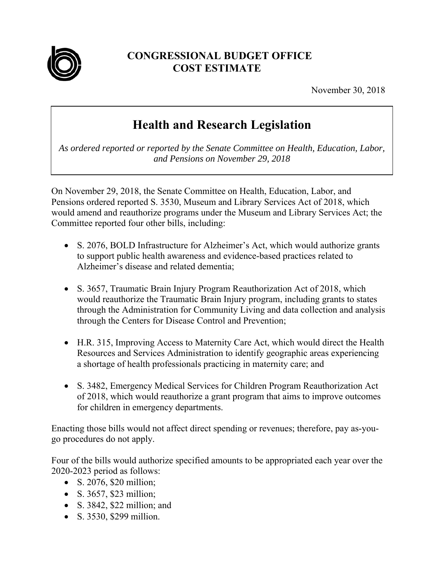

## **CONGRESSIONAL BUDGET OFFICE COST ESTIMATE**

November 30, 2018

## **Health and Research Legislation**

*As ordered reported or reported by the Senate Committee on Health, Education, Labor, and Pensions on November 29, 2018* 

On November 29, 2018, the Senate Committee on Health, Education, Labor, and Pensions ordered reported S. 3530, Museum and Library Services Act of 2018, which would amend and reauthorize programs under the Museum and Library Services Act; the Committee reported four other bills, including:

- S. 2076, BOLD Infrastructure for Alzheimer's Act, which would authorize grants to support public health awareness and evidence-based practices related to Alzheimer's disease and related dementia;
- S. 3657, Traumatic Brain Injury Program Reauthorization Act of 2018, which would reauthorize the Traumatic Brain Injury program, including grants to states through the Administration for Community Living and data collection and analysis through the Centers for Disease Control and Prevention;
- H.R. 315, Improving Access to Maternity Care Act, which would direct the Health Resources and Services Administration to identify geographic areas experiencing a shortage of health professionals practicing in maternity care; and
- S. 3482, Emergency Medical Services for Children Program Reauthorization Act of 2018, which would reauthorize a grant program that aims to improve outcomes for children in emergency departments.

Enacting those bills would not affect direct spending or revenues; therefore, pay as-yougo procedures do not apply.

Four of the bills would authorize specified amounts to be appropriated each year over the 2020-2023 period as follows:

- S. 2076, \$20 million;
- S. 3657, \$23 million;
- $\bullet$  S. 3842, \$22 million; and
- S. 3530, \$299 million.